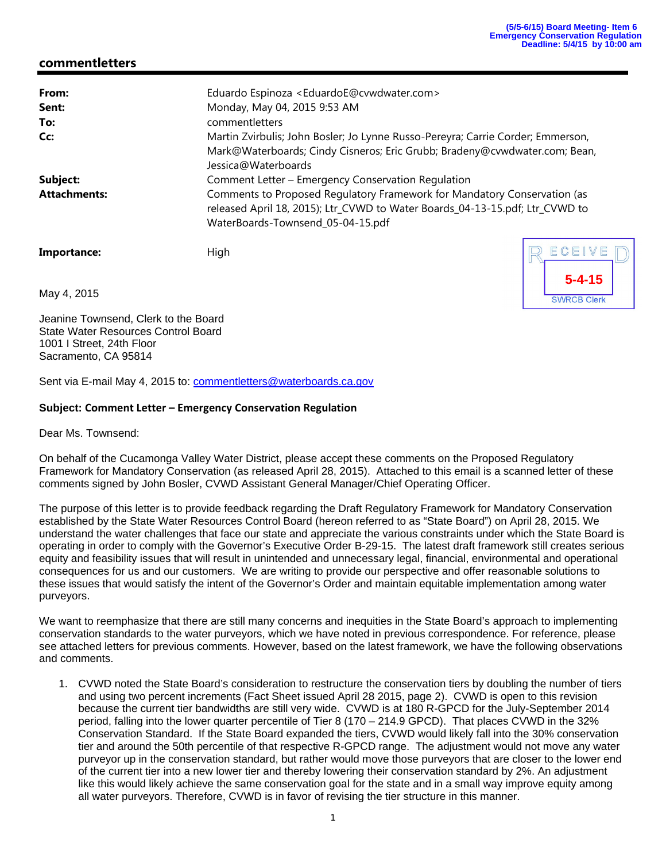**5-4-15**

**SWRCB Clerk** 

ECEIV

### **commentletters**

| From:               | Eduardo Espinoza <eduardoe@cvwdwater.com></eduardoe@cvwdwater.com>              |  |  |  |  |  |  |  |
|---------------------|---------------------------------------------------------------------------------|--|--|--|--|--|--|--|
| Sent:               | Monday, May 04, 2015 9:53 AM                                                    |  |  |  |  |  |  |  |
| To:                 | commentletters                                                                  |  |  |  |  |  |  |  |
| Cc:                 | Martin Zvirbulis; John Bosler; Jo Lynne Russo-Pereyra; Carrie Corder; Emmerson, |  |  |  |  |  |  |  |
|                     | Mark@Waterboards; Cindy Cisneros; Eric Grubb; Bradeny@cvwdwater.com; Bean,      |  |  |  |  |  |  |  |
|                     | Jessica@Waterboards                                                             |  |  |  |  |  |  |  |
| Subject:            | Comment Letter - Emergency Conservation Regulation                              |  |  |  |  |  |  |  |
| <b>Attachments:</b> | Comments to Proposed Regulatory Framework for Mandatory Conservation (as        |  |  |  |  |  |  |  |
|                     | released April 18, 2015); Ltr_CVWD to Water Boards_04-13-15.pdf; Ltr_CVWD to    |  |  |  |  |  |  |  |
|                     | WaterBoards-Townsend_05-04-15.pdf                                               |  |  |  |  |  |  |  |
|                     |                                                                                 |  |  |  |  |  |  |  |

Importance: High

May 4, 2015

Jeanine Townsend, Clerk to the Board State Water Resources Control Board 1001 I Street, 24th Floor Sacramento, CA 95814

Sent via E-mail May 4, 2015 to: commentletters@waterboards.ca.gov

#### **Subject: Comment Letter – Emergency Conservation Regulation**

Dear Ms. Townsend:

On behalf of the Cucamonga Valley Water District, please accept these comments on the Proposed Regulatory Framework for Mandatory Conservation (as released April 28, 2015). Attached to this email is a scanned letter of these comments signed by John Bosler, CVWD Assistant General Manager/Chief Operating Officer.

The purpose of this letter is to provide feedback regarding the Draft Regulatory Framework for Mandatory Conservation established by the State Water Resources Control Board (hereon referred to as "State Board") on April 28, 2015. We understand the water challenges that face our state and appreciate the various constraints under which the State Board is operating in order to comply with the Governor's Executive Order B-29-15. The latest draft framework still creates serious equity and feasibility issues that will result in unintended and unnecessary legal, financial, environmental and operational consequences for us and our customers. We are writing to provide our perspective and offer reasonable solutions to these issues that would satisfy the intent of the Governor's Order and maintain equitable implementation among water purveyors.

We want to reemphasize that there are still many concerns and inequities in the State Board's approach to implementing conservation standards to the water purveyors, which we have noted in previous correspondence. For reference, please see attached letters for previous comments. However, based on the latest framework, we have the following observations and comments.

1. CVWD noted the State Board's consideration to restructure the conservation tiers by doubling the number of tiers and using two percent increments (Fact Sheet issued April 28 2015, page 2). CVWD is open to this revision because the current tier bandwidths are still very wide. CVWD is at 180 R-GPCD for the July-September 2014 period, falling into the lower quarter percentile of Tier 8 (170 – 214.9 GPCD). That places CVWD in the 32% Conservation Standard. If the State Board expanded the tiers, CVWD would likely fall into the 30% conservation tier and around the 50th percentile of that respective R-GPCD range. The adjustment would not move any water purveyor up in the conservation standard, but rather would move those purveyors that are closer to the lower end of the current tier into a new lower tier and thereby lowering their conservation standard by 2%. An adjustment like this would likely achieve the same conservation goal for the state and in a small way improve equity among all water purveyors. Therefore, CVWD is in favor of revising the tier structure in this manner.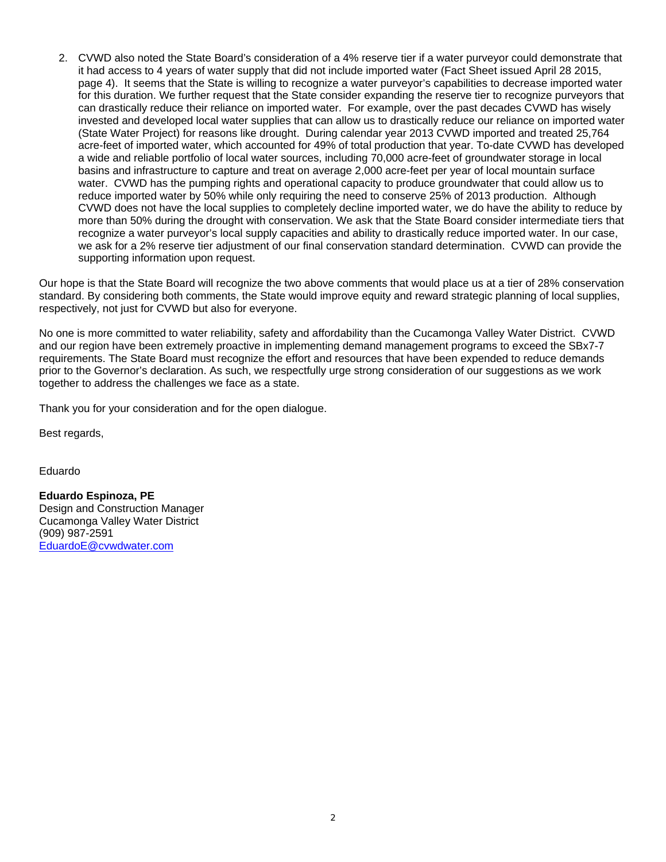2. CVWD also noted the State Board's consideration of a 4% reserve tier if a water purveyor could demonstrate that it had access to 4 years of water supply that did not include imported water (Fact Sheet issued April 28 2015, page 4). It seems that the State is willing to recognize a water purveyor's capabilities to decrease imported water for this duration. We further request that the State consider expanding the reserve tier to recognize purveyors that can drastically reduce their reliance on imported water. For example, over the past decades CVWD has wisely invested and developed local water supplies that can allow us to drastically reduce our reliance on imported water (State Water Project) for reasons like drought. During calendar year 2013 CVWD imported and treated 25,764 acre-feet of imported water, which accounted for 49% of total production that year. To-date CVWD has developed a wide and reliable portfolio of local water sources, including 70,000 acre-feet of groundwater storage in local basins and infrastructure to capture and treat on average 2,000 acre-feet per year of local mountain surface water. CVWD has the pumping rights and operational capacity to produce groundwater that could allow us to reduce imported water by 50% while only requiring the need to conserve 25% of 2013 production. Although CVWD does not have the local supplies to completely decline imported water, we do have the ability to reduce by more than 50% during the drought with conservation. We ask that the State Board consider intermediate tiers that recognize a water purveyor's local supply capacities and ability to drastically reduce imported water. In our case, we ask for a 2% reserve tier adjustment of our final conservation standard determination. CVWD can provide the supporting information upon request.

Our hope is that the State Board will recognize the two above comments that would place us at a tier of 28% conservation standard. By considering both comments, the State would improve equity and reward strategic planning of local supplies, respectively, not just for CVWD but also for everyone.

No one is more committed to water reliability, safety and affordability than the Cucamonga Valley Water District. CVWD and our region have been extremely proactive in implementing demand management programs to exceed the SBx7-7 requirements. The State Board must recognize the effort and resources that have been expended to reduce demands prior to the Governor's declaration. As such, we respectfully urge strong consideration of our suggestions as we work together to address the challenges we face as a state.

Thank you for your consideration and for the open dialogue.

Best regards,

Eduardo

**Eduardo Espinoza, PE**  Design and Construction Manager Cucamonga Valley Water District (909) 987-2591 EduardoE@cvwdwater.com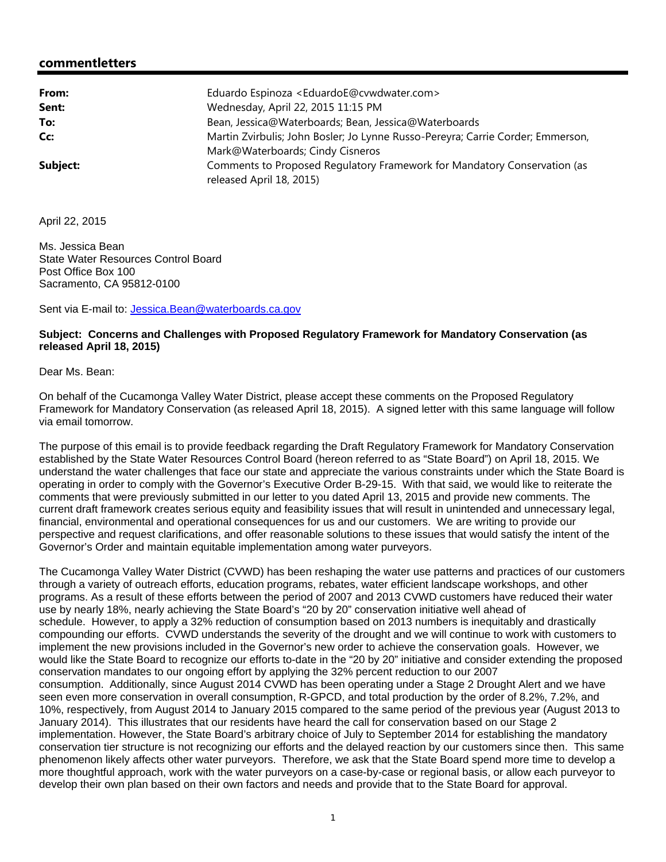### **commentletters**

| From:    | Eduardo Espinoza <eduardoe@cvwdwater.com></eduardoe@cvwdwater.com>              |
|----------|---------------------------------------------------------------------------------|
| Sent:    | Wednesday, April 22, 2015 11:15 PM                                              |
| To:      | Bean, Jessica@Waterboards; Bean, Jessica@Waterboards                            |
| Cc:      | Martin Zvirbulis; John Bosler; Jo Lynne Russo-Pereyra; Carrie Corder; Emmerson, |
|          | Mark@Waterboards; Cindy Cisneros                                                |
| Subject: | Comments to Proposed Regulatory Framework for Mandatory Conservation (as        |
|          | released April 18, 2015)                                                        |

April 22, 2015

Ms. Jessica Bean State Water Resources Control Board Post Office Box 100 Sacramento, CA 95812-0100

Sent via E-mail to: Jessica.Bean@waterboards.ca.gov

### **Subject: Concerns and Challenges with Proposed Regulatory Framework for Mandatory Conservation (as released April 18, 2015)**

Dear Ms. Bean:

On behalf of the Cucamonga Valley Water District, please accept these comments on the Proposed Regulatory Framework for Mandatory Conservation (as released April 18, 2015). A signed letter with this same language will follow via email tomorrow.

The purpose of this email is to provide feedback regarding the Draft Regulatory Framework for Mandatory Conservation established by the State Water Resources Control Board (hereon referred to as "State Board") on April 18, 2015. We understand the water challenges that face our state and appreciate the various constraints under which the State Board is operating in order to comply with the Governor's Executive Order B-29-15. With that said, we would like to reiterate the comments that were previously submitted in our letter to you dated April 13, 2015 and provide new comments. The current draft framework creates serious equity and feasibility issues that will result in unintended and unnecessary legal, financial, environmental and operational consequences for us and our customers. We are writing to provide our perspective and request clarifications, and offer reasonable solutions to these issues that would satisfy the intent of the Governor's Order and maintain equitable implementation among water purveyors.

The Cucamonga Valley Water District (CVWD) has been reshaping the water use patterns and practices of our customers through a variety of outreach efforts, education programs, rebates, water efficient landscape workshops, and other programs. As a result of these efforts between the period of 2007 and 2013 CVWD customers have reduced their water use by nearly 18%, nearly achieving the State Board's "20 by 20" conservation initiative well ahead of schedule. However, to apply a 32% reduction of consumption based on 2013 numbers is inequitably and drastically compounding our efforts. CVWD understands the severity of the drought and we will continue to work with customers to implement the new provisions included in the Governor's new order to achieve the conservation goals. However, we would like the State Board to recognize our efforts to-date in the "20 by 20" initiative and consider extending the proposed conservation mandates to our ongoing effort by applying the 32% percent reduction to our 2007 consumption. Additionally, since August 2014 CVWD has been operating under a Stage 2 Drought Alert and we have seen even more conservation in overall consumption, R-GPCD, and total production by the order of 8.2%, 7.2%, and 10%, respectively, from August 2014 to January 2015 compared to the same period of the previous year (August 2013 to January 2014). This illustrates that our residents have heard the call for conservation based on our Stage 2 implementation. However, the State Board's arbitrary choice of July to September 2014 for establishing the mandatory conservation tier structure is not recognizing our efforts and the delayed reaction by our customers since then. This same phenomenon likely affects other water purveyors. Therefore, we ask that the State Board spend more time to develop a more thoughtful approach, work with the water purveyors on a case-by-case or regional basis, or allow each purveyor to develop their own plan based on their own factors and needs and provide that to the State Board for approval.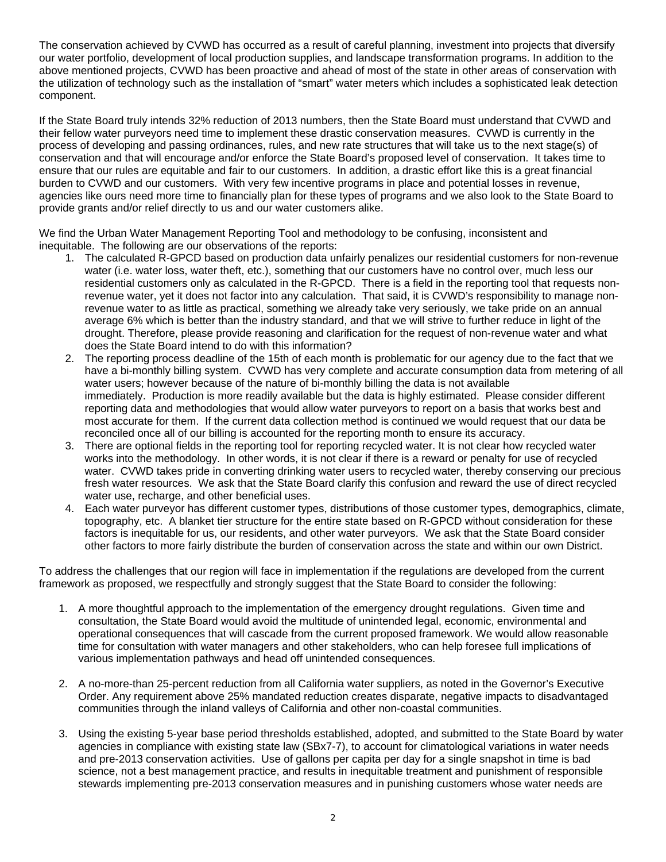The conservation achieved by CVWD has occurred as a result of careful planning, investment into projects that diversify our water portfolio, development of local production supplies, and landscape transformation programs. In addition to the above mentioned projects, CVWD has been proactive and ahead of most of the state in other areas of conservation with the utilization of technology such as the installation of "smart" water meters which includes a sophisticated leak detection component.

If the State Board truly intends 32% reduction of 2013 numbers, then the State Board must understand that CVWD and their fellow water purveyors need time to implement these drastic conservation measures. CVWD is currently in the process of developing and passing ordinances, rules, and new rate structures that will take us to the next stage(s) of conservation and that will encourage and/or enforce the State Board's proposed level of conservation. It takes time to ensure that our rules are equitable and fair to our customers. In addition, a drastic effort like this is a great financial burden to CVWD and our customers. With very few incentive programs in place and potential losses in revenue, agencies like ours need more time to financially plan for these types of programs and we also look to the State Board to provide grants and/or relief directly to us and our water customers alike.

We find the Urban Water Management Reporting Tool and methodology to be confusing, inconsistent and inequitable. The following are our observations of the reports:

- 1. The calculated R-GPCD based on production data unfairly penalizes our residential customers for non-revenue water (i.e. water loss, water theft, etc.), something that our customers have no control over, much less our residential customers only as calculated in the R-GPCD. There is a field in the reporting tool that requests nonrevenue water, yet it does not factor into any calculation. That said, it is CVWD's responsibility to manage nonrevenue water to as little as practical, something we already take very seriously, we take pride on an annual average 6% which is better than the industry standard, and that we will strive to further reduce in light of the drought. Therefore, please provide reasoning and clarification for the request of non-revenue water and what does the State Board intend to do with this information?
- 2. The reporting process deadline of the 15th of each month is problematic for our agency due to the fact that we have a bi-monthly billing system. CVWD has very complete and accurate consumption data from metering of all water users; however because of the nature of bi-monthly billing the data is not available immediately. Production is more readily available but the data is highly estimated. Please consider different reporting data and methodologies that would allow water purveyors to report on a basis that works best and most accurate for them. If the current data collection method is continued we would request that our data be reconciled once all of our billing is accounted for the reporting month to ensure its accuracy.
- 3. There are optional fields in the reporting tool for reporting recycled water. It is not clear how recycled water works into the methodology. In other words, it is not clear if there is a reward or penalty for use of recycled water. CVWD takes pride in converting drinking water users to recycled water, thereby conserving our precious fresh water resources. We ask that the State Board clarify this confusion and reward the use of direct recycled water use, recharge, and other beneficial uses.
- 4. Each water purveyor has different customer types, distributions of those customer types, demographics, climate, topography, etc. A blanket tier structure for the entire state based on R-GPCD without consideration for these factors is inequitable for us, our residents, and other water purveyors. We ask that the State Board consider other factors to more fairly distribute the burden of conservation across the state and within our own District.

To address the challenges that our region will face in implementation if the regulations are developed from the current framework as proposed, we respectfully and strongly suggest that the State Board to consider the following:

- 1. A more thoughtful approach to the implementation of the emergency drought regulations. Given time and consultation, the State Board would avoid the multitude of unintended legal, economic, environmental and operational consequences that will cascade from the current proposed framework. We would allow reasonable time for consultation with water managers and other stakeholders, who can help foresee full implications of various implementation pathways and head off unintended consequences.
- 2. A no-more-than 25-percent reduction from all California water suppliers, as noted in the Governor's Executive Order. Any requirement above 25% mandated reduction creates disparate, negative impacts to disadvantaged communities through the inland valleys of California and other non-coastal communities.
- 3. Using the existing 5-year base period thresholds established, adopted, and submitted to the State Board by water agencies in compliance with existing state law (SBx7-7), to account for climatological variations in water needs and pre-2013 conservation activities. Use of gallons per capita per day for a single snapshot in time is bad science, not a best management practice, and results in inequitable treatment and punishment of responsible stewards implementing pre-2013 conservation measures and in punishing customers whose water needs are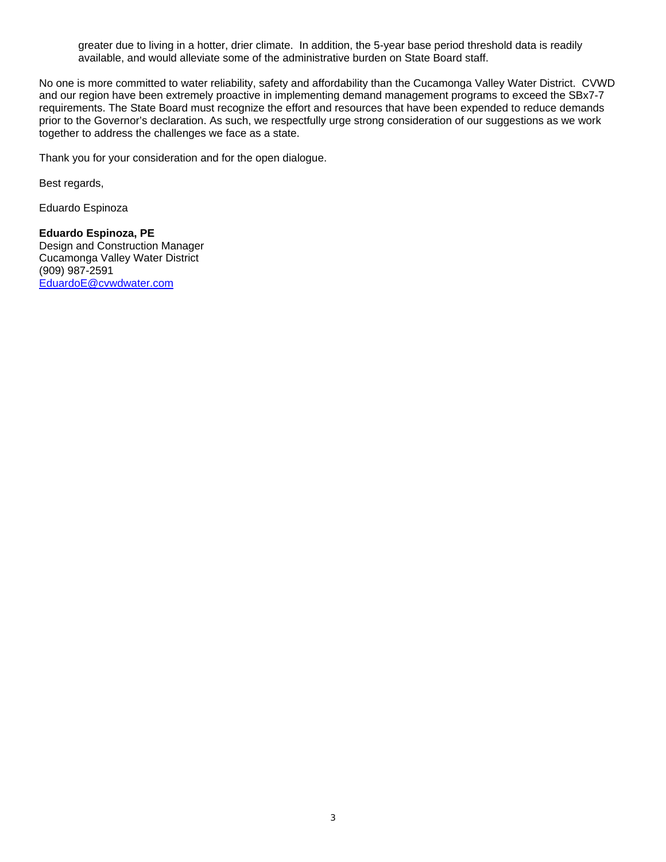greater due to living in a hotter, drier climate. In addition, the 5-year base period threshold data is readily available, and would alleviate some of the administrative burden on State Board staff.

No one is more committed to water reliability, safety and affordability than the Cucamonga Valley Water District. CVWD and our region have been extremely proactive in implementing demand management programs to exceed the SBx7-7 requirements. The State Board must recognize the effort and resources that have been expended to reduce demands prior to the Governor's declaration. As such, we respectfully urge strong consideration of our suggestions as we work together to address the challenges we face as a state.

Thank you for your consideration and for the open dialogue.

Best regards,

Eduardo Espinoza

### **Eduardo Espinoza, PE**

Design and Construction Manager Cucamonga Valley Water District (909) 987-2591 EduardoE@cvwdwater.com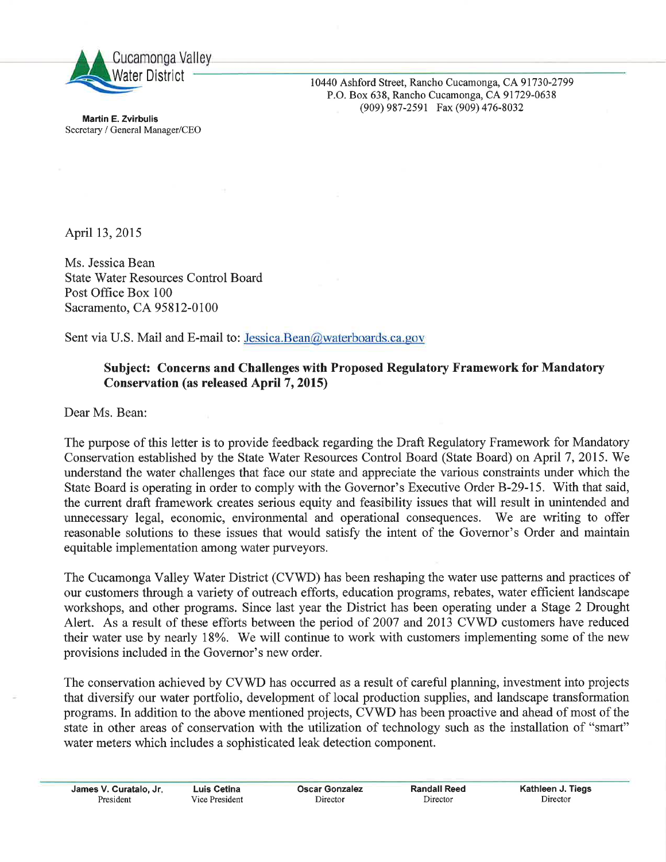

10440 Ashford Street, Rancho Cucamonga, CA 91730-2799 P.O. Box 638, Rancho Cucamonga, CA 91729-0638 (909) 987-2591 Fax (909) 476-8032

**Martin E. Zvirbulis** Secretary / General Manager/CEO

April 13, 2015

Ms. Jessica Bean **State Water Resources Control Board** Post Office Box 100 Sacramento, CA 95812-0100

Sent via U.S. Mail and E-mail to: Jessica.Bean@waterboards.ca.gov

### Subject: Concerns and Challenges with Proposed Regulatory Framework for Mandatory **Conservation (as released April 7, 2015)**

Dear Ms. Bean:

The purpose of this letter is to provide feedback regarding the Draft Regulatory Framework for Mandatory Conservation established by the State Water Resources Control Board (State Board) on April 7, 2015. We understand the water challenges that face our state and appreciate the various constraints under which the State Board is operating in order to comply with the Governor's Executive Order B-29-15. With that said, the current draft framework creates serious equity and feasibility issues that will result in unintended and unnecessary legal, economic, environmental and operational consequences. We are writing to offer reasonable solutions to these issues that would satisfy the intent of the Governor's Order and maintain equitable implementation among water purveyors.

The Cucamonga Valley Water District (CVWD) has been reshaping the water use patterns and practices of our customers through a variety of outreach efforts, education programs, rebates, water efficient landscape workshops, and other programs. Since last year the District has been operating under a Stage 2 Drought Alert. As a result of these efforts between the period of 2007 and 2013 CVWD customers have reduced their water use by nearly 18%. We will continue to work with customers implementing some of the new provisions included in the Governor's new order.

The conservation achieved by CVWD has occurred as a result of careful planning, investment into projects that diversify our water portfolio, development of local production supplies, and landscape transformation programs. In addition to the above mentioned projects, CVWD has been proactive and ahead of most of the state in other areas of conservation with the utilization of technology such as the installation of "smart" water meters which includes a sophisticated leak detection component.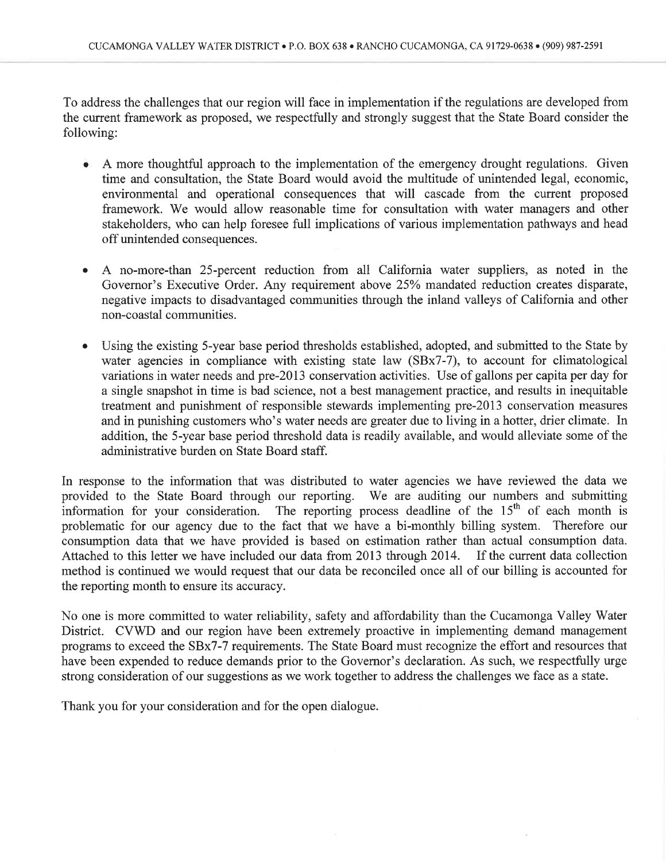To address the challenges that our region will face in implementation if the regulations are developed from the current framework as proposed, we respectfully and strongly suggest that the State Board consider the following:

- A more thoughtful approach to the implementation of the emergency drought regulations. Given time and consultation, the State Board would avoid the multitude of unintended legal, economic, environmental and operational consequences that will cascade from the current proposed framework. We would allow reasonable time for consultation with water managers and other stakeholders, who can help foresee full implications of various implementation pathways and head off unintended consequences.
- A no-more-than 25-percent reduction from all California water suppliers, as noted in the  $\bullet$ Governor's Executive Order. Any requirement above 25% mandated reduction creates disparate, negative impacts to disadvantaged communities through the inland valleys of California and other non-coastal communities.
- Using the existing 5-year base period thresholds established, adopted, and submitted to the State by water agencies in compliance with existing state law (SBx7-7), to account for climatological variations in water needs and pre-2013 conservation activities. Use of gallons per capita per day for a single snapshot in time is bad science, not a best management practice, and results in inequitable treatment and punishment of responsible stewards implementing pre-2013 conservation measures and in punishing customers who's water needs are greater due to living in a hotter, drier climate. In addition, the 5-year base period threshold data is readily available, and would alleviate some of the administrative burden on State Board staff.

In response to the information that was distributed to water agencies we have reviewed the data we provided to the State Board through our reporting. We are auditing our numbers and submitting information for your consideration. The reporting process deadline of the 15<sup>th</sup> of each month is<br>problematic for our agency due to the fact that we have a bi-monthly billing system. Therefore our consumption data that we have provided is based on estimation rather than actual consumption data. Attached to this letter we have included our data from 2013 through 2014. If the current data collection method is continued we would request that our data be reconciled once all of our billing is accounted for the reporting month to ensure its accuracy.

No one is more committed to water reliability, safety and affordability than the Cucamonga Valley Water District. CVWD and our region have been extremely proactive in implementing demand management programs to exceed the SBx7-7 requirements. The State Board must recognize the effort and resources that have been expended to reduce demands prior to the Governor's declaration. As such, we respectfully urge strong consideration of our suggestions as we work together to address the challenges we face as a state.

Thank you for your consideration and for the open dialogue.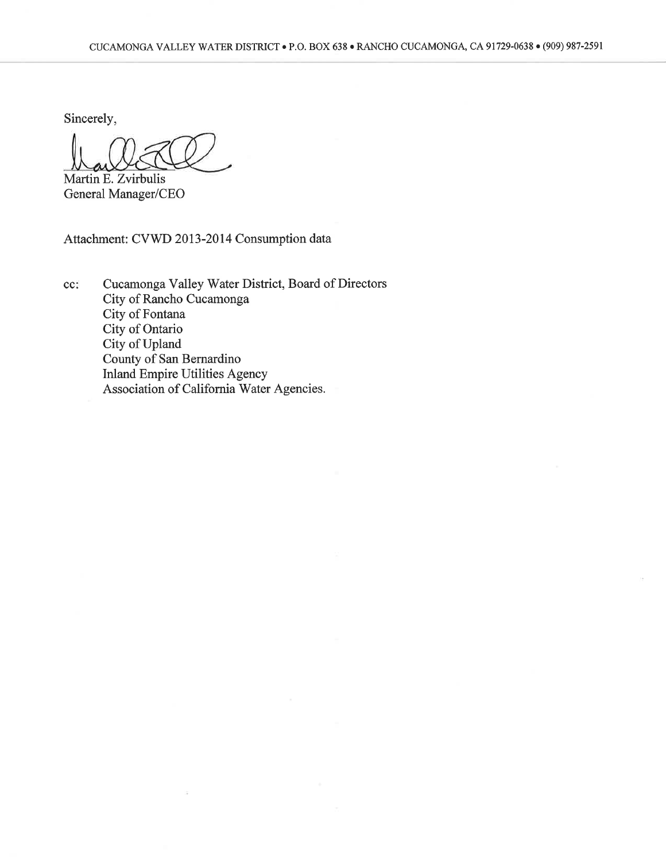Sincerely,

Martin E. Zvirbulis General Manager/CEO

Attachment: CVWD 2013-2014 Consumption data

ÿ.

Cucamonga Valley Water District, Board of Directors  $cc$ : City of Rancho Cucamonga City of Fontana City of Ontario City of Upland County of San Bernardino Inland Empire Utilities Agency<br>Association of California Water Agencies.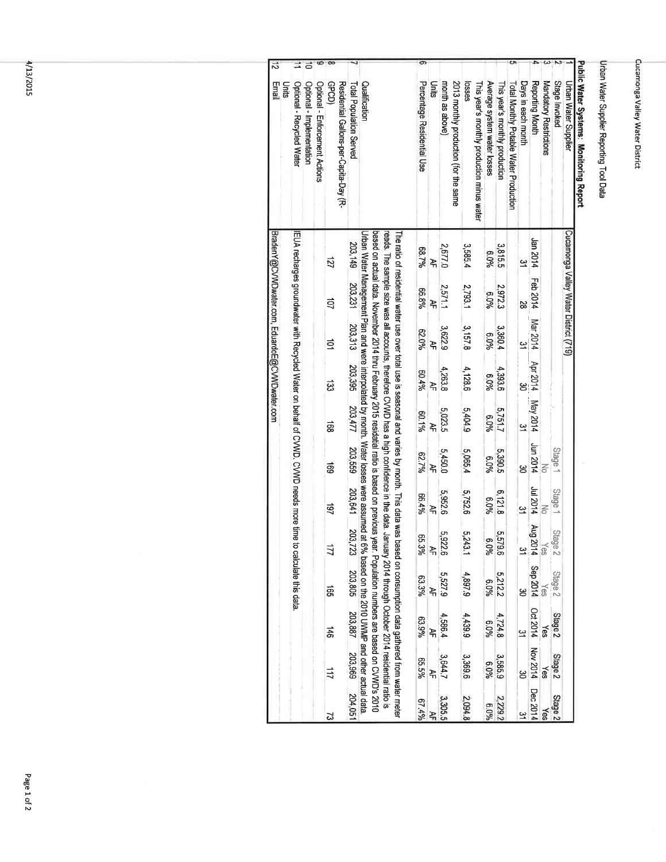### Urban Water Supplier Reporting Tool Data

## Public Water Systems: Monitoring Report

 $\bar{\omega}$ 

|       |                                                                                       |                           |                                |                       |                                        |                         |                                                                                                                                                                                                                                                                                                                                                                                                      | တ                          |          |                 |                                       |         |                                            |                             |                                |                                        |                      |                            |                        |               |                                       |  |
|-------|---------------------------------------------------------------------------------------|---------------------------|--------------------------------|-----------------------|----------------------------------------|-------------------------|------------------------------------------------------------------------------------------------------------------------------------------------------------------------------------------------------------------------------------------------------------------------------------------------------------------------------------------------------------------------------------------------------|----------------------------|----------|-----------------|---------------------------------------|---------|--------------------------------------------|-----------------------------|--------------------------------|----------------------------------------|----------------------|----------------------------|------------------------|---------------|---------------------------------------|--|
| Units | Optional - Recycled Water                                                             | Optional - Implementation | Optional - Enforcement Actions | <b>GDGD</b>           | Residential Gallons-per-Capita-Day (R- | Total Population Served | Qualification                                                                                                                                                                                                                                                                                                                                                                                        | Percentage Residential Use | Units    | month as above) | 2013 monthly production (for the same | losses  | This year's monthly production minus water | Average system water losses | This year's monthly production | Total Monthly Potable Water Production | Days in each month   | Reporting Month            | Mandatory Restrictions | Stage Invoked | Urban Water Supplier                  |  |
|       | EUA recharges groundwater with Recycled Water on behalf of CVWD. CVWD needs more time |                           |                                | <b>ZZL</b>            |                                        | 203,149                 | Urban Water Management Plan and were interpolated by month. Water losses were assumed at t<br>based on actual data. November 2014 thru February 2015 residatial ratio is based on previous year. Population numbers are based on CVWD's 2010<br>The ratio of residential water use over total use is seasonal and varies by month. This data was based on consumption data gathered from water meter | 88.7%                      | ¥        | 2,677.0         |                                       | 3,585.4 |                                            | 960'9                       | 3,815.5                        |                                        | ین                   | ht 02 usl                  |                        |               | Cucamonga Valley Water District (719) |  |
|       |                                                                                       |                           |                                | 40                    |                                        | 203,231                 |                                                                                                                                                                                                                                                                                                                                                                                                      | 96.8%                      | ੇ<br>ਮੌ  | 2571.1          |                                       | 2,793.1 |                                            | %0.9                        | 2,972.3                        |                                        | 82                   | Feb 2014                   |                        |               |                                       |  |
|       |                                                                                       |                           |                                | ਕੁੱ                   |                                        | 203,313                 |                                                                                                                                                                                                                                                                                                                                                                                                      | 62.0%                      | <u>ት</u> | 3,622.9         |                                       | 3,157.8 |                                            | 960'9                       | 3,360.4                        |                                        | ین                   | Mar 2014                   |                        |               |                                       |  |
|       |                                                                                       |                           |                                | ౙ                     |                                        | 203,395                 |                                                                                                                                                                                                                                                                                                                                                                                                      | 60.4%                      | 추<br>구   | 4,263.8         |                                       | 4,128.6 |                                            | 6.0%                        | 4,393.6                        |                                        |                      | Apr 2014                   |                        |               |                                       |  |
|       |                                                                                       |                           |                                | බූ                    |                                        | 203,477                 |                                                                                                                                                                                                                                                                                                                                                                                                      | 80.1%                      | 녹<br>국   | 5,023.5         |                                       | 5,404.9 |                                            | 6.0%                        | 5,751.7                        |                                        | $\tilde{\mathbf{z}}$ | May 2014                   |                        |               |                                       |  |
|       |                                                                                       |                           |                                | සි                    |                                        | 203,559                 |                                                                                                                                                                                                                                                                                                                                                                                                      | 62.7%                      | ¥        | 5,450.0         |                                       | 5,065.4 |                                            | %0'9                        | 5,390.5                        |                                        | မွ                   | Jun 2014                   |                        | Stage         |                                       |  |
|       |                                                                                       |                           |                                | $\overrightarrow{5}$  |                                        | 203,641                 |                                                                                                                                                                                                                                                                                                                                                                                                      | 66.4%                      | 주<br>국   | 5,952.6         |                                       | 5,752.6 |                                            | 6.0%                        | 6,121.8                        |                                        | ین                   | <b>412014</b>              |                        | Stage 1       |                                       |  |
|       |                                                                                       |                           |                                | 171                   |                                        | 203<br>723              |                                                                                                                                                                                                                                                                                                                                                                                                      | ვ.<br>ૹૺ                   | 주<br>구   | 5,922.6         |                                       | 5,243.1 |                                            | <b>တ</b><br>%0'             | 5,579.6                        |                                        | $\tilde{\mathbf{5}}$ | Aug 2014 Sep 2014          | Yes                    | Stage 2       |                                       |  |
|       | to calculate this data                                                                |                           |                                | ត្ត                   |                                        | 203,805                 |                                                                                                                                                                                                                                                                                                                                                                                                      | 63.3%                      | 곡        | 6'22'2          |                                       | 4,897.9 |                                            | 6.0%                        | 5,212.2                        |                                        |                      |                            | Yes                    | Stage 2       |                                       |  |
|       |                                                                                       |                           |                                | $\overrightarrow{ab}$ |                                        | 203,887                 | reads. The sample size was all accounts, therefore CVWD has a high confidence in the data. January 2014 through October 2014 residential ratio is<br>6% based on the 2010 UWY To and other actual data                                                                                                                                                                                               | 63.9%                      | ¥        | 4,586.4         |                                       | 4,439.9 |                                            | %0'9                        | 4,724.8                        |                                        | ین                   | Oct 2014 Nov 2014 Dec 2014 | Yes                    | Stage 2       |                                       |  |
|       |                                                                                       |                           |                                | 111                   |                                        | 203,969 204,051         |                                                                                                                                                                                                                                                                                                                                                                                                      | 92.5%                      | ੇ<br>ਮ   | 3,644.7         |                                       | 3,369.6 |                                            | %0'9                        | 3,585.9                        |                                        | ఆ                    |                            | Yes                    | Stage 2       |                                       |  |
|       |                                                                                       |                           |                                | ವ                     |                                        |                         |                                                                                                                                                                                                                                                                                                                                                                                                      | 67.49                      |          | 3,305.5         |                                       | 2,094.8 |                                            | 960.9                       | 2,229.2                        |                                        |                      |                            |                        | Stage 2       |                                       |  |

4/13/2015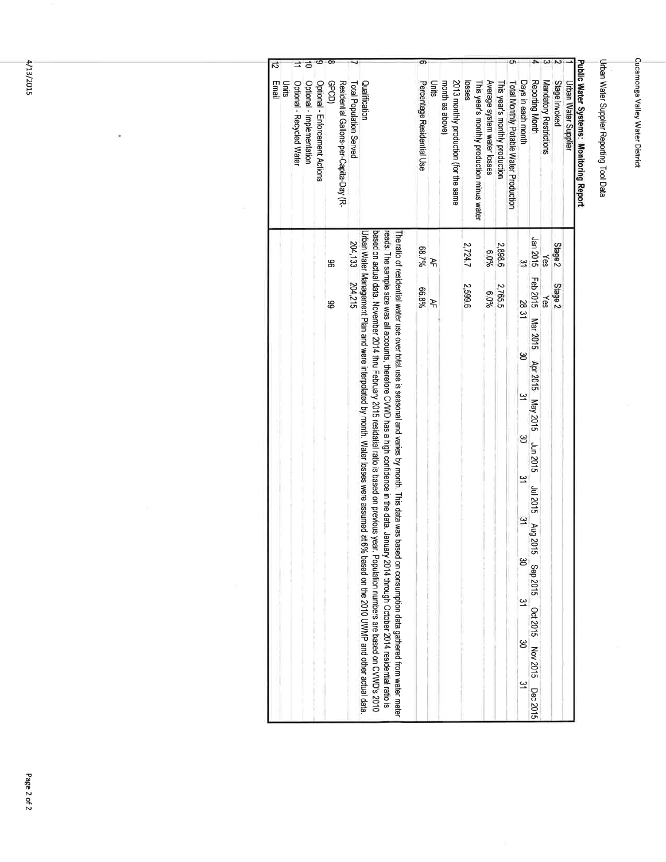### Urban Water Supplier Reporting Tool Data

# Public Water Systems: Monitoring Report

|       |                           |                           |                                |       |                                        |                         |                                                                                                                                                                                                                                                                                                                                                                                                                                                                                                                                                                                                         | တ                          |        |                                                          |         |                                            |                             |                                |                                        |                    |                                                       |                        |                    |                             |
|-------|---------------------------|---------------------------|--------------------------------|-------|----------------------------------------|-------------------------|---------------------------------------------------------------------------------------------------------------------------------------------------------------------------------------------------------------------------------------------------------------------------------------------------------------------------------------------------------------------------------------------------------------------------------------------------------------------------------------------------------------------------------------------------------------------------------------------------------|----------------------------|--------|----------------------------------------------------------|---------|--------------------------------------------|-----------------------------|--------------------------------|----------------------------------------|--------------------|-------------------------------------------------------|------------------------|--------------------|-----------------------------|
| Units | Optional - Recycled Water | Optional - Implementation | Optional - Enforcement Actions | GDGD) | Residential Gallons-per-Capita-Day (R- | Total Population Served | Qualification                                                                                                                                                                                                                                                                                                                                                                                                                                                                                                                                                                                           | Percentage Residential Use | Units  | 2013 monthly production (for the same<br>month as above) | losses  | This year's monthly production minus water | Average system water losses | This year's monthly production | Total Monthly Potable Water Production | Days in each month | Reporting Month                                       | Mandatory Restrictions | Stage Invoked      | <b>Urban Water Supplier</b> |
|       |                           |                           |                                | g     |                                        | 204,133                 | based on actual data. November 2014 inru February 2015 residatial ratio is based on previous year. Population numbers are based on CVWD's 2010<br>Urban Water Management Plan and were interpolated by month. Water losses were assumed at 6% based on the 2010 UWMP and other actual data<br>reads. The sample size was all accounts, therefore CVWD has a high confidence in the data. January 2014 through October 2014 residential ratio is<br>The ratio of residential water use over total use is seasonal and varies by month. This data was based on consumption data gathered from water meter | 88.7%                      | 추<br>구 |                                                          | 2,724.7 |                                            | 960.9                       | 2,898.6                        |                                        | ین                 | Jan 2015                                              | ≿es                    | Stage <sub>2</sub> |                             |
|       |                           |                           |                                | 8     |                                        | 204,215                 |                                                                                                                                                                                                                                                                                                                                                                                                                                                                                                                                                                                                         | 66.8%                      | ੇ<br>4 |                                                          | 2,599.6 |                                            | 6.0%                        | 2,765.5                        |                                        | <b>2831</b>        | Feb 2015 Mar 2015                                     | Yes                    | Stage 2            |                             |
|       |                           |                           |                                |       |                                        |                         |                                                                                                                                                                                                                                                                                                                                                                                                                                                                                                                                                                                                         |                            |        |                                                          |         |                                            |                             |                                |                                        |                    |                                                       |                        |                    |                             |
|       |                           |                           |                                |       |                                        |                         |                                                                                                                                                                                                                                                                                                                                                                                                                                                                                                                                                                                                         |                            |        |                                                          |         |                                            |                             |                                |                                        | అ                  | Apr 2015 May 2015                                     |                        |                    |                             |
|       |                           |                           |                                |       |                                        |                         |                                                                                                                                                                                                                                                                                                                                                                                                                                                                                                                                                                                                         |                            |        |                                                          |         |                                            |                             |                                |                                        | یا                 |                                                       |                        |                    |                             |
|       |                           |                           |                                |       |                                        |                         |                                                                                                                                                                                                                                                                                                                                                                                                                                                                                                                                                                                                         |                            |        |                                                          |         |                                            |                             |                                |                                        | ၶ                  | Jun 2015                                              |                        |                    |                             |
|       |                           |                           |                                |       |                                        |                         |                                                                                                                                                                                                                                                                                                                                                                                                                                                                                                                                                                                                         |                            |        |                                                          |         |                                            |                             |                                |                                        | $\approx$          |                                                       |                        |                    |                             |
|       |                           |                           |                                |       |                                        |                         |                                                                                                                                                                                                                                                                                                                                                                                                                                                                                                                                                                                                         |                            |        |                                                          |         |                                            |                             |                                |                                        | $\frac{\omega}{2}$ |                                                       |                        |                    |                             |
|       |                           |                           |                                |       |                                        |                         |                                                                                                                                                                                                                                                                                                                                                                                                                                                                                                                                                                                                         |                            |        |                                                          |         |                                            |                             |                                |                                        | မ္မ                |                                                       |                        |                    |                             |
|       |                           |                           |                                |       |                                        |                         |                                                                                                                                                                                                                                                                                                                                                                                                                                                                                                                                                                                                         |                            |        |                                                          |         |                                            |                             |                                |                                        | $\tilde{z}$        |                                                       |                        |                    |                             |
|       |                           |                           |                                |       |                                        |                         |                                                                                                                                                                                                                                                                                                                                                                                                                                                                                                                                                                                                         |                            |        |                                                          |         |                                            |                             |                                |                                        | ఴ                  |                                                       |                        |                    |                             |
|       |                           |                           |                                |       |                                        |                         |                                                                                                                                                                                                                                                                                                                                                                                                                                                                                                                                                                                                         |                            |        |                                                          |         |                                            |                             |                                |                                        | $\tilde{ }$        | Jul 2015 Aug 2015 Sep 2015 Oct 2015 Nov 2015 Dec 2015 |                        |                    |                             |

4/13/2015

 $\ddot{\phantom{0}}$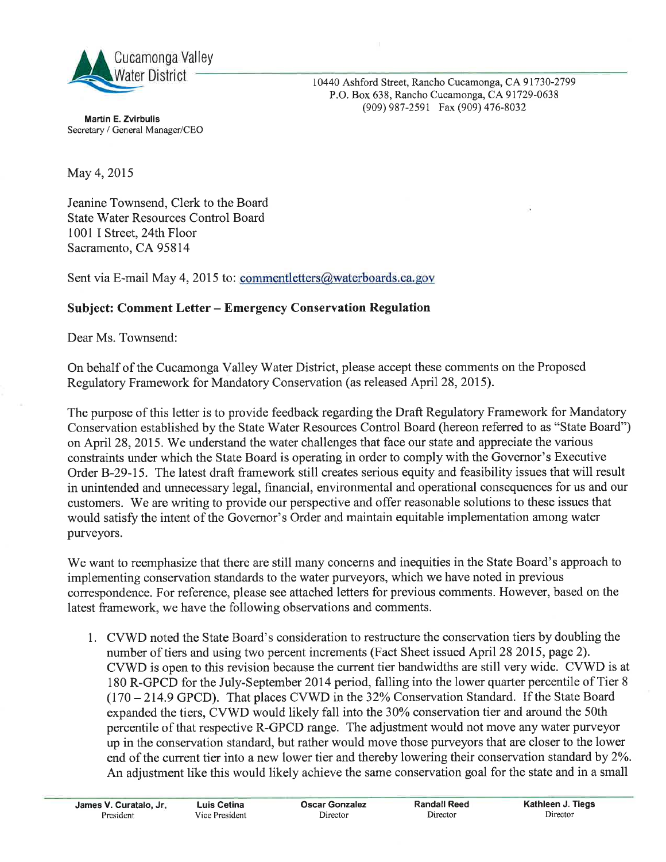

**Martin E. Zvirbulis** Secretary / General Manager/CEO 10440 Ashford Street, Rancho Cucamonga, CA 91730-2799 P.O. Box 638, Rancho Cucamonga, CA 91729-0638 (909) 987-2591 Fax (909) 476-8032

May 4, 2015

Jeanine Townsend, Clerk to the Board **State Water Resources Control Board** 1001 I Street, 24th Floor Sacramento, CA 95814

Sent via E-mail May 4, 2015 to: commentletters@waterboards.ca.gov

### **Subject: Comment Letter - Emergency Conservation Regulation**

Dear Ms. Townsend:

On behalf of the Cucamonga Valley Water District, please accept these comments on the Proposed Regulatory Framework for Mandatory Conservation (as released April 28, 2015).

The purpose of this letter is to provide feedback regarding the Draft Regulatory Framework for Mandatory Conservation established by the State Water Resources Control Board (hereon referred to as "State Board") on April 28, 2015. We understand the water challenges that face our state and appreciate the various constraints under which the State Board is operating in order to comply with the Governor's Executive Order B-29-15. The latest draft framework still creates serious equity and feasibility issues that will result in unintended and unnecessary legal, financial, environmental and operational consequences for us and our customers. We are writing to provide our perspective and offer reasonable solutions to these issues that would satisfy the intent of the Governor's Order and maintain equitable implementation among water purveyors.

We want to reemphasize that there are still many concerns and inequities in the State Board's approach to implementing conservation standards to the water purveyors, which we have noted in previous correspondence. For reference, please see attached letters for previous comments. However, based on the latest framework, we have the following observations and comments.

1. CVWD noted the State Board's consideration to restructure the conservation tiers by doubling the number of tiers and using two percent increments (Fact Sheet issued April 28 2015, page 2). CVWD is open to this revision because the current tier bandwidths are still very wide. CVWD is at 180 R-GPCD for the July-September 2014 period, falling into the lower quarter percentile of Tier 8 (170 - 214.9 GPCD). That places CVWD in the 32% Conservation Standard. If the State Board expanded the tiers, CVWD would likely fall into the 30% conservation tier and around the 50th percentile of that respective R-GPCD range. The adjustment would not move any water purveyor up in the conservation standard, but rather would move those purveyors that are closer to the lower end of the current tier into a new lower tier and thereby lowering their conservation standard by 2%. An adjustment like this would likely achieve the same conservation goal for the state and in a small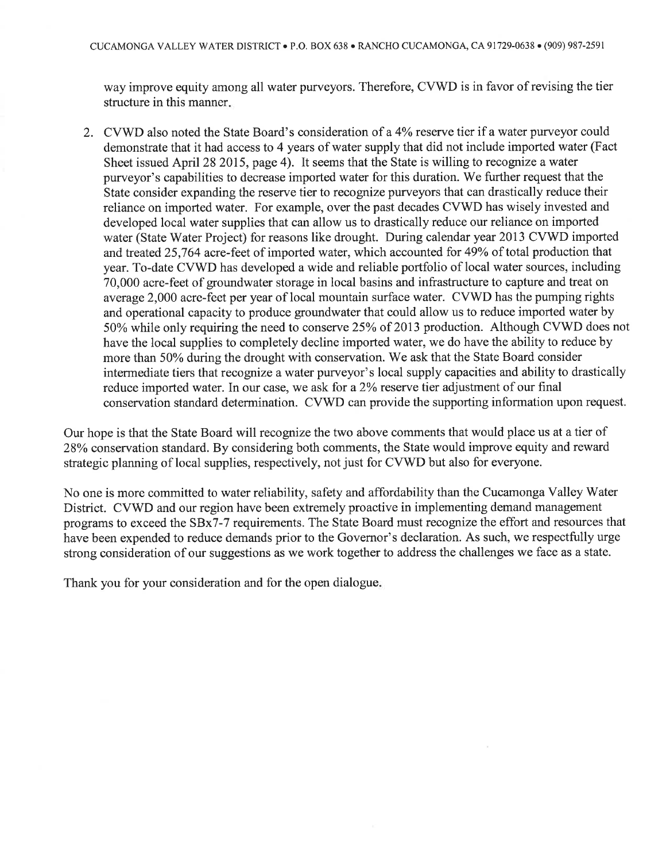way improve equity among all water purveyors. Therefore, CVWD is in favor of revising the tier structure in this manner.

2. CVWD also noted the State Board's consideration of a 4% reserve tier if a water purveyor could demonstrate that it had access to 4 years of water supply that did not include imported water (Fact Sheet issued April 28 2015, page 4). It seems that the State is willing to recognize a water purveyor's capabilities to decrease imported water for this duration. We further request that the State consider expanding the reserve tier to recognize purveyors that can drastically reduce their reliance on imported water. For example, over the past decades CVWD has wisely invested and developed local water supplies that can allow us to drastically reduce our reliance on imported water (State Water Project) for reasons like drought. During calendar year 2013 CVWD imported and treated 25,764 acre-feet of imported water, which accounted for 49% of total production that year. To-date CVWD has developed a wide and reliable portfolio of local water sources, including 70,000 acre-feet of groundwater storage in local basins and infrastructure to capture and treat on average 2,000 acre-feet per year of local mountain surface water. CVWD has the pumping rights and operational capacity to produce groundwater that could allow us to reduce imported water by 50% while only requiring the need to conserve 25% of 2013 production. Although CVWD does not have the local supplies to completely decline imported water, we do have the ability to reduce by more than 50% during the drought with conservation. We ask that the State Board consider intermediate tiers that recognize a water purveyor's local supply capacities and ability to drastically reduce imported water. In our case, we ask for a 2% reserve tier adjustment of our final conservation standard determination. CVWD can provide the supporting information upon request.

Our hope is that the State Board will recognize the two above comments that would place us at a tier of 28% conservation standard. By considering both comments, the State would improve equity and reward strategic planning of local supplies, respectively, not just for CVWD but also for everyone.

No one is more committed to water reliability, safety and affordability than the Cucamonga Valley Water District. CVWD and our region have been extremely proactive in implementing demand management programs to exceed the SBx7-7 requirements. The State Board must recognize the effort and resources that have been expended to reduce demands prior to the Governor's declaration. As such, we respectfully urge strong consideration of our suggestions as we work together to address the challenges we face as a state.

Thank you for your consideration and for the open dialogue.